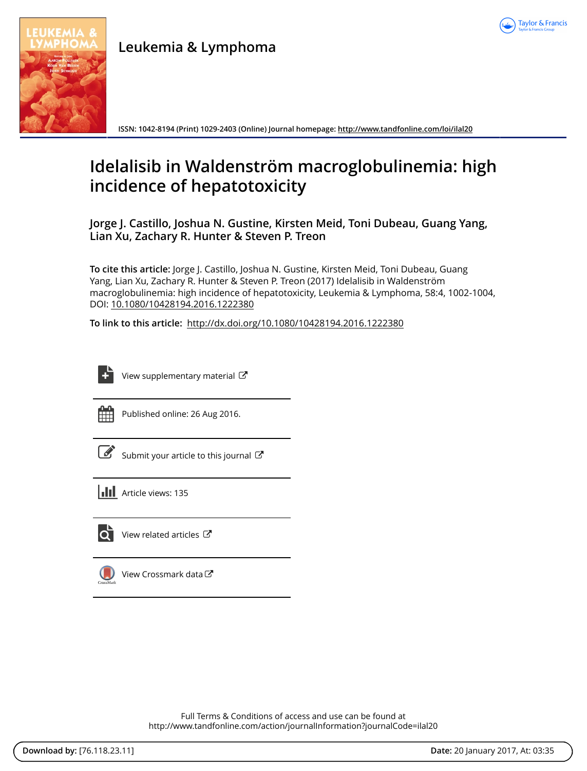

**Leukemia & Lymphoma**

**ISSN: 1042-8194 (Print) 1029-2403 (Online) Journal homepage:<http://www.tandfonline.com/loi/ilal20>**

# **Idelalisib in Waldenström macroglobulinemia: high incidence of hepatotoxicity**

**Jorge J. Castillo, Joshua N. Gustine, Kirsten Meid, Toni Dubeau, Guang Yang, Lian Xu, Zachary R. Hunter & Steven P. Treon**

**To cite this article:** Jorge J. Castillo, Joshua N. Gustine, Kirsten Meid, Toni Dubeau, Guang Yang, Lian Xu, Zachary R. Hunter & Steven P. Treon (2017) Idelalisib in Waldenström macroglobulinemia: high incidence of hepatotoxicity, Leukemia & Lymphoma, 58:4, 1002-1004, DOI: [10.1080/10428194.2016.1222380](http://www.tandfonline.com/action/showCitFormats?doi=10.1080/10428194.2016.1222380)

**To link to this article:** <http://dx.doi.org/10.1080/10428194.2016.1222380>

| ___<br>-<br><b>Service Service</b> |
|------------------------------------|
|------------------------------------|

[View supplementary material](http://www.tandfonline.com/doi/suppl/10.1080/10428194.2016.1222380)  $\mathbb{Z}$ 



Published online: 26 Aug 2016.

[Submit your article to this journal](http://www.tandfonline.com/action/authorSubmission?journalCode=ilal20&show=instructions)  $\mathbb{Z}$ 





[View related articles](http://www.tandfonline.com/doi/mlt/10.1080/10428194.2016.1222380) C



[View Crossmark data](http://crossmark.crossref.org/dialog/?doi=10.1080/10428194.2016.1222380&domain=pdf&date_stamp=2016-08-26)<sup>C</sup>

Full Terms & Conditions of access and use can be found at <http://www.tandfonline.com/action/journalInformation?journalCode=ilal20>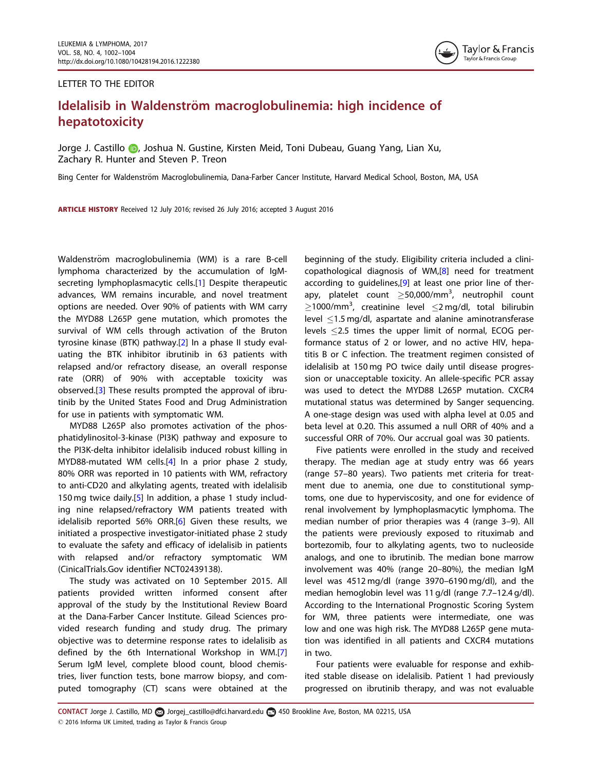## <span id="page-1-0"></span>LETTER TO THE EDITOR



## Idelalisib in Waldenström macroglobulinemia: high incidence of hepatotoxicity

Jorge J. Castillo **D**, Joshua N. Gustine, Kirsten Meid, Toni Dubeau, Guang Yang, Lian Xu, Zachary R. Hunter and Steven P. Treon

Bing Center for Waldenström Macroglobulinemia, Dana-Farber Cancer Institute, Harvard Medical School, Boston, MA, USA

ARTICLE HISTORY Received 12 July 2016; revised 26 July 2016; accepted 3 August 2016

Waldenström macroglobulinemia (WM) is a rare B-cell lymphoma characterized by the accumulation of IgMsecreting lymphoplasmacytic cells.[[1\]](#page-2-0) Despite therapeutic advances, WM remains incurable, and novel treatment options are needed. Over 90% of patients with WM carry the MYD88 L265P gene mutation, which promotes the survival of WM cells through activation of the Bruton tyrosine kinase (BTK) pathway.[\[2](#page-2-0)] In a phase II study evaluating the BTK inhibitor ibrutinib in 63 patients with relapsed and/or refractory disease, an overall response rate (ORR) of 90% with acceptable toxicity was observed.[\[3](#page-2-0)] These results prompted the approval of ibrutinib by the United States Food and Drug Administration for use in patients with symptomatic WM.

MYD88 L265P also promotes activation of the phosphatidylinositol-3-kinase (PI3K) pathway and exposure to the PI3K-delta inhibitor idelalisib induced robust killing in MYD88-mutated WM cells.[\[4](#page-2-0)] In a prior phase 2 study, 80% ORR was reported in 10 patients with WM, refractory to anti-CD20 and alkylating agents, treated with idelalisib 150 mg twice daily.[\[5](#page-2-0)] In addition, a phase 1 study including nine relapsed/refractory WM patients treated with idelalisib reported 56% ORR.<sup>[\[6](#page-2-0)]</sup> Given these results, we initiated a prospective investigator-initiated phase 2 study to evaluate the safety and efficacy of idelalisib in patients with relapsed and/or refractory symptomatic WM (CinicalTrials.Gov identifier NCT02439138).

The study was activated on 10 September 2015. All patients provided written informed consent after approval of the study by the Institutional Review Board at the Dana-Farber Cancer Institute. Gilead Sciences provided research funding and study drug. The primary objective was to determine response rates to idelalisib as defined by the 6th International Workshop in WM.[\[7](#page-2-0)] Serum IgM level, complete blood count, blood chemistries, liver function tests, bone marrow biopsy, and computed tomography (CT) scans were obtained at the beginning of the study. Eligibility criteria included a clinicopathological diagnosis of WM,[[8\]](#page-2-0) need for treatment according to guidelines,[\[9](#page-3-0)] at least one prior line of therapy, platelet count  $\geq$ 50,000/mm<sup>3</sup>, neutrophil count  $\geq$ 1000/mm<sup>3</sup>, creatinine level  $\leq$ 2 mg/dl, total bilirubin level  $\leq$ 1.5 mg/dl, aspartate and alanine aminotransferase levels 2.5 times the upper limit of normal, ECOG performance status of 2 or lower, and no active HIV, hepatitis B or C infection. The treatment regimen consisted of idelalisib at 150 mg PO twice daily until disease progression or unacceptable toxicity. An allele-specific PCR assay was used to detect the MYD88 L265P mutation. CXCR4 mutational status was determined by Sanger sequencing. A one-stage design was used with alpha level at 0.05 and beta level at 0.20. This assumed a null ORR of 40% and a successful ORR of 70%. Our accrual goal was 30 patients.

Five patients were enrolled in the study and received therapy. The median age at study entry was 66 years (range 57–80 years). Two patients met criteria for treatment due to anemia, one due to constitutional symptoms, one due to hyperviscosity, and one for evidence of renal involvement by lymphoplasmacytic lymphoma. The median number of prior therapies was 4 (range 3–9). All the patients were previously exposed to rituximab and bortezomib, four to alkylating agents, two to nucleoside analogs, and one to ibrutinib. The median bone marrow involvement was 40% (range 20–80%), the median IgM level was 4512 mg/dl (range 3970–6190 mg/dl), and the median hemoglobin level was 11 g/dl (range 7.7–12.4 g/dl). According to the International Prognostic Scoring System for WM, three patients were intermediate, one was low and one was high risk. The MYD88 L265P gene mutation was identified in all patients and CXCR4 mutations in two.

Four patients were evaluable for response and exhibited stable disease on idelalisib. Patient 1 had previously progressed on ibrutinib therapy, and was not evaluable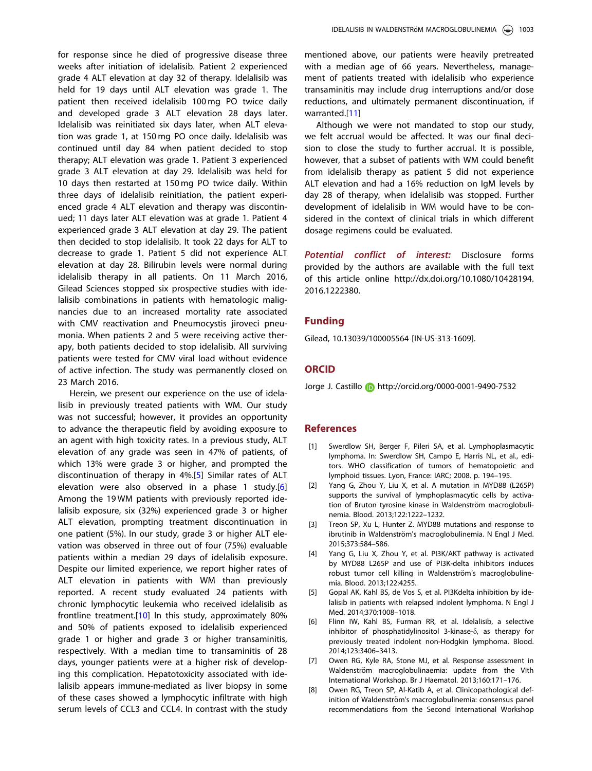<span id="page-2-0"></span>for response since he died of progressive disease three weeks after initiation of idelalisib. Patient 2 experienced grade 4 ALT elevation at day 32 of therapy. Idelalisib was held for 19 days until ALT elevation was grade 1. The patient then received idelalisib 100 mg PO twice daily and developed grade 3 ALT elevation 28 days later. Idelalisib was reinitiated six days later, when ALT elevation was grade 1, at 150 mg PO once daily. Idelalisib was continued until day 84 when patient decided to stop therapy; ALT elevation was grade 1. Patient 3 experienced grade 3 ALT elevation at day 29. Idelalisib was held for 10 days then restarted at 150 mg PO twice daily. Within three days of idelalisib reinitiation, the patient experienced grade 4 ALT elevation and therapy was discontinued; 11 days later ALT elevation was at grade 1. Patient 4 experienced grade 3 ALT elevation at day 29. The patient then decided to stop idelalisib. It took 22 days for ALT to decrease to grade 1. Patient 5 did not experience ALT elevation at day 28. Bilirubin levels were normal during idelalisib therapy in all patients. On 11 March 2016, Gilead Sciences stopped six prospective studies with idelalisib combinations in patients with hematologic malignancies due to an increased mortality rate associated with CMV reactivation and Pneumocystis jiroveci pneumonia. When patients 2 and 5 were receiving active therapy, both patients decided to stop idelalisib. All surviving patients were tested for CMV viral load without evidence of active infection. The study was permanently closed on 23 March 2016.

Herein, we present our experience on the use of idelalisib in previously treated patients with WM. Our study was not successful; however, it provides an opportunity to advance the therapeutic field by avoiding exposure to an agent with high toxicity rates. In a previous study, ALT elevation of any grade was seen in 47% of patients, of which 13% were grade 3 or higher, and prompted the discontinuation of therapy in 4%.[5] Similar rates of ALT elevation were also observed in a phase 1 study.[6] Among the 19 WM patients with previously reported idelalisib exposure, six (32%) experienced grade 3 or higher ALT elevation, prompting treatment discontinuation in one patient (5%). In our study, grade 3 or higher ALT elevation was observed in three out of four (75%) evaluable patients within a median 29 days of idelalisib exposure. Despite our limited experience, we report higher rates of ALT elevation in patients with WM than previously reported. A recent study evaluated 24 patients with chronic lymphocytic leukemia who received idelalisib as frontline treatment.[\[10\]](#page-3-0) In this study, approximately 80% and 50% of patients exposed to idelalisib experienced grade 1 or higher and grade 3 or higher transaminitis, respectively. With a median time to transaminitis of 28 days, younger patients were at a higher risk of developing this complication. Hepatotoxicity associated with idelalisib appears immune-mediated as liver biopsy in some of these cases showed a lymphocytic infiltrate with high serum levels of CCL3 and CCL4. In contrast with the study mentioned above, our patients were heavily pretreated with a median age of 66 years. Nevertheless, management of patients treated with idelalisib who experience transaminitis may include drug interruptions and/or dose reductions, and ultimately permanent discontinuation, if warranted.[\[11\]](#page-3-0)

Although we were not mandated to stop our study, we felt accrual would be affected. It was our final decision to close the study to further accrual. It is possible, however, that a subset of patients with WM could benefit from idelalisib therapy as patient 5 did not experience ALT elevation and had a 16% reduction on IgM levels by day 28 of therapy, when idelalisib was stopped. Further development of idelalisib in WM would have to be considered in the context of clinical trials in which different dosage regimens could be evaluated.

Potential conflict of interest: Disclosure forms provided by the authors are available with the full text of this article online [http://dx.doi.org/10.1080/10428194.](http://dx.doi.org/10.1080/10428194.2016.1222380) [2016.1222380](http://dx.doi.org/10.1080/10428194.2016.1222380).

## Funding

Gilead, 10.13039/100005564 [IN-US-313-1609].

### **ORCID**

Jorge J. Castillo **b** http://orcid.org/0000-0001-9490-7532

## References

- [\[1\] S](#page-1-0)werdlow SH, Berger F, Pileri SA, et al. Lymphoplasmacytic lymphoma. In: Swerdlow SH, Campo E, Harris NL, et al., editors. WHO classification of tumors of hematopoietic and lymphoid tissues. Lyon, France: IARC; 2008. p. 194–195.
- [\[2\] Y](#page-1-0)ang G, Zhou Y, Liu X, et al. A mutation in MYD88 (L265P) supports the survival of lymphoplasmacytic cells by activation of Bruton tyrosine kinase in Waldenström macroglobulinemia. Blood. 2013;122:1222–1232.
- [\[3\] T](#page-1-0)reon SP, Xu L, Hunter Z. MYD88 mutations and response to ibrutinib in Waldenström's macroglobulinemia. N Engl J Med. 2015;373:584–586.
- [\[4\] Y](#page-1-0)ang G, Liu X, Zhou Y, et al. PI3K/AKT pathway is activated by MYD88 L265P and use of PI3K-delta inhibitors induces robust tumor cell killing in Waldenström's macroglobulinemia. Blood. 2013;122:4255.
- [\[5\] G](#page-1-0)opal AK, Kahl BS, de Vos S, et al. PI3Kdelta inhibition by idelalisib in patients with relapsed indolent lymphoma. N Engl J Med. 2014;370:1008–1018.
- [\[6\] F](#page-1-0)linn IW, Kahl BS, Furman RR, et al. Idelalisib, a selective inhibitor of phosphatidylinositol 3-kinase- $\delta$ , as therapy for previously treated indolent non-Hodgkin lymphoma. Blood. 2014;123:3406–3413.
- [\[7\] O](#page-1-0)wen RG, Kyle RA, Stone MJ, et al. Response assessment in Waldenström macroglobulinaemia: update from the VIth International Workshop. Br J Haematol. 2013;160:171–176.
- [\[8\] O](#page-1-0)wen RG, Treon SP, Al-Katib A, et al. Clinicopathological definition of Waldenström's macroglobulinemia: consensus panel recommendations from the Second International Workshop